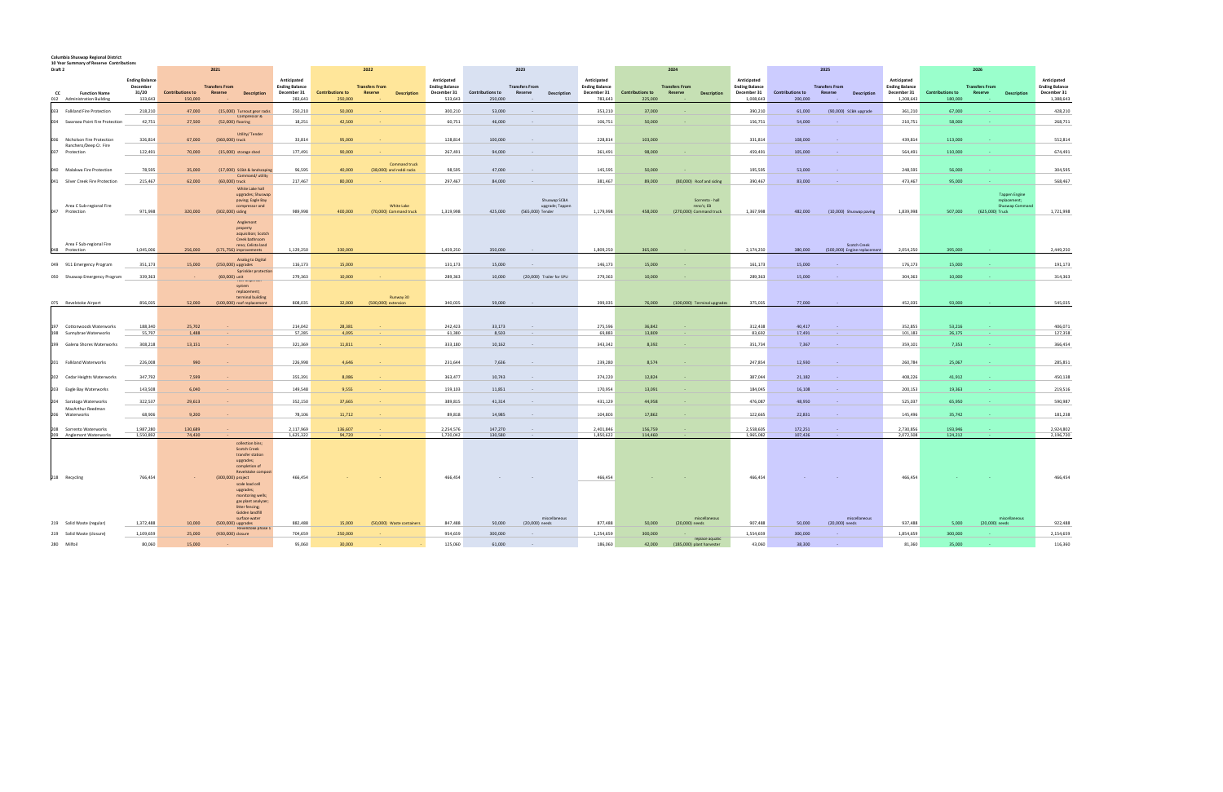## **Columbia Shuswap Regional District**

**10**

| 10 Year Summary of Reserve Contributions                  |                                                       |                                    |                                                                                                                                                                                                                                                       |                                                                |                                    |                                                               |                                                                |                             |                                                        |                                                                |                                    |                                                          |                                                                  |                                    |                                                               |                                                                  |                                    |                                                                           |                                                                  |
|-----------------------------------------------------------|-------------------------------------------------------|------------------------------------|-------------------------------------------------------------------------------------------------------------------------------------------------------------------------------------------------------------------------------------------------------|----------------------------------------------------------------|------------------------------------|---------------------------------------------------------------|----------------------------------------------------------------|-----------------------------|--------------------------------------------------------|----------------------------------------------------------------|------------------------------------|----------------------------------------------------------|------------------------------------------------------------------|------------------------------------|---------------------------------------------------------------|------------------------------------------------------------------|------------------------------------|---------------------------------------------------------------------------|------------------------------------------------------------------|
| Draft 2                                                   |                                                       | 2021                               |                                                                                                                                                                                                                                                       | 2022                                                           |                                    |                                                               |                                                                | 2023                        | 2024                                                   |                                                                |                                    | 2025                                                     |                                                                  |                                    |                                                               | 2026                                                             |                                    |                                                                           |                                                                  |
| <b>Function Name</b><br>CC<br>012 Administration Building | <b>Ending Balance</b><br>December<br>31/20<br>133,643 | <b>Contributions to</b><br>150,000 | <b>Transfers From</b><br>Reserve<br><b>Description</b>                                                                                                                                                                                                | Anticipated<br><b>Ending Balance</b><br>December 31<br>283,643 | <b>Contributions to</b><br>250,000 | <b>Transfers From</b><br><b>Reserve</b><br><b>Description</b> | Anticipated<br><b>Ending Balance</b><br>December 31<br>533,643 | Contributions to<br>250,000 | <b>Transfers From</b><br>Reserve<br><b>Description</b> | Anticipated<br><b>Ending Balance</b><br>December 31<br>783,643 | <b>Contributions to</b><br>225,000 | <b>Transfers From</b><br>Reserve<br><b>Description</b>   | Anticipated<br><b>Ending Balance</b><br>December 31<br>1,008,643 | <b>Contributions to</b><br>200,000 | <b>Transfers From</b><br><b>Reserve</b><br><b>Description</b> | Anticipated<br><b>Ending Balance</b><br>December 31<br>1,208,643 | <b>Contributions to</b><br>180,000 | <b>Transfers From</b><br><b>Description</b><br>Reserve                    | Anticipated<br><b>Ending Balance</b><br>December 31<br>1,388,643 |
| 033<br><b>Falkland Fire Protection</b>                    | 218,210                                               | 47,000                             | (15,000) Turnout gear racks                                                                                                                                                                                                                           | 250,210                                                        | 50,000                             |                                                               | 300,210                                                        | 53,000                      |                                                        | 353,210                                                        | 37,000                             |                                                          | 390,210                                                          | 61,000                             | (90,000) SCBA upgrade                                         | 361,210                                                          | 67,000                             |                                                                           | 428,210                                                          |
| Swansea Point Fire Protection<br>034                      | 42,751                                                | 27,500                             | Compressor &<br>(52,000) flooring                                                                                                                                                                                                                     | 18,251                                                         | 42,500                             |                                                               | 60,751                                                         | 46,000                      |                                                        | 106,751                                                        | 50,000                             |                                                          | 156,751                                                          | 54,000                             |                                                               | 210,751                                                          | 58,000                             |                                                                           | 268,751                                                          |
|                                                           |                                                       |                                    |                                                                                                                                                                                                                                                       |                                                                |                                    |                                                               |                                                                |                             |                                                        |                                                                |                                    |                                                          |                                                                  |                                    |                                                               |                                                                  |                                    |                                                                           |                                                                  |
| Nicholson Fire Protection<br>Ranchero/Deep Cr. Fire       | 326,814                                               | 67,000                             | <b>Utility/Tender</b><br>(360,000) truck                                                                                                                                                                                                              | 33,814                                                         | 95,000                             |                                                               | 128,814                                                        | 100,000                     |                                                        | 228,814                                                        | 103,000                            |                                                          | 331,814                                                          | 108,000                            |                                                               | 439,814                                                          | 113,000                            |                                                                           | 552,814                                                          |
| 037<br>Protection                                         | 122,491                                               | 70,000                             | (15,000) storage shed                                                                                                                                                                                                                                 | 177,491                                                        | 90,000                             |                                                               | 267,491                                                        | 94,000                      |                                                        | 361,491                                                        | 98,000                             |                                                          | 459,491                                                          | 105,000                            |                                                               | 564,491                                                          | 110,000                            |                                                                           | 674,491                                                          |
| Malakwa Fire Protection<br>በ4በ                            | 78,595                                                | 35,000                             | (17,000) SCBA & landscaping                                                                                                                                                                                                                           | 96,595                                                         | 40,000                             | Command truck<br>(38,000) and reddi racks                     | 98,595                                                         | 47,000                      |                                                        | 145,595                                                        | 50,000                             |                                                          | 195,595                                                          | 53,000                             |                                                               | 248,595                                                          | 56,000                             |                                                                           | 304,595                                                          |
| 041 Silver Creek Fire Protection                          | 215,467                                               | 62,000                             | Command/utility<br>(60,000) truck                                                                                                                                                                                                                     | 217,467                                                        | 80,000                             |                                                               | 297,467                                                        | 84,000                      |                                                        | 381,467                                                        | 89,000                             | (80,000) Roof and siding                                 | 390,467                                                          | 83,000                             |                                                               | 473,467                                                          | 95,000                             |                                                                           | 568,467                                                          |
| Area C Sub-regional Fire<br>047<br>Protection             | 971,998                                               | 320,000                            | White Lake hall<br>upgrades; Shuswap<br>paving; Eagle Bay<br>compressor and<br>(302,000) siding                                                                                                                                                       | 989,998                                                        | 400.000                            | White Lake<br>(70,000) Command truck                          | 1,319,998                                                      | 425,000                     | Shuswap SCBA<br>upgrade; Tappen<br>(565,000) Tender    | 1,179,998                                                      | 458,000                            | Sorrento - hall<br>reno's; EB<br>(270,000) Command truck | 1,367,998                                                        | 482,000                            | (10,000) Shuswap paving                                       | 1,839,998                                                        | 507.000                            | <b>Tappen Engine</b><br>replacement;<br>Shuswap Comman<br>(625,000) Truck | 1,721,998                                                        |
| Area F Sub-regional Fire                                  |                                                       |                                    | Anglemont<br>property<br>acquisition; Scotch<br>Creek bathroom<br>reno; Celista land                                                                                                                                                                  |                                                                |                                    |                                                               |                                                                |                             |                                                        |                                                                |                                    |                                                          |                                                                  |                                    | <b>Scotch Creek</b>                                           |                                                                  |                                    |                                                                           |                                                                  |
| 048 Protection                                            | 1,045,006                                             | 256,000                            | (171,756) improvements<br>Analog to Digital                                                                                                                                                                                                           | 1,129,250                                                      | 330,000                            |                                                               | 1,459,250                                                      | 350,000                     |                                                        | 1,809,250                                                      | 365,000                            |                                                          | 2,174,250                                                        | 380,000                            | (500,000) Engine replacement                                  | 2,054,250                                                        | 395,000                            |                                                                           | 2,449,250                                                        |
| 049 911 Emergency Program                                 | 351,173                                               | 15,000                             | (250,000) upgrades<br>Sprinkler protection                                                                                                                                                                                                            | 116,173                                                        | 15,000                             |                                                               | 131,173                                                        | 15,000                      | $\sim$                                                 | 146,173                                                        | 15,000                             |                                                          | 161,173                                                          | 15,000                             |                                                               | 176,173                                                          | 15,000                             |                                                                           | 191,173                                                          |
| Shuswap Emergency Program<br>050                          | 339,363                                               |                                    | (60,000) unit<br><b>Tuer uisperise</b>                                                                                                                                                                                                                | 279,363                                                        | 10,000                             |                                                               | 289,363                                                        | 10,000                      | (20,000) Trailer for SPU                               | 279,363                                                        | 10,000                             |                                                          | 289,363                                                          | 15,000                             |                                                               | 304,363                                                          | 10,000                             |                                                                           | 314,363                                                          |
| 075 Revelstoke Airport                                    | 856,035                                               | 52,000                             | system<br>replacement;<br>terminal building<br>(100,000) roof replacement                                                                                                                                                                             | 808,035                                                        | 32,000                             | Runway 30<br>(500,000) extension                              | 340,035                                                        | 59,000                      |                                                        | 399,035                                                        | 76,000                             | (100,000) Terminal upgrades                              | 375,035                                                          | 77,000                             |                                                               | 452,035                                                          | 93,000                             |                                                                           | 545,035                                                          |
| Cottonwoods Waterworks<br>197                             | 188,340                                               | 25.702                             |                                                                                                                                                                                                                                                       | 214,042                                                        | 28,381                             |                                                               | 242,423                                                        | 33,173                      | $\sim$                                                 | 275,596                                                        | 36.842                             |                                                          | 312,438                                                          | 40.417                             |                                                               | 352,855                                                          | 53,216                             |                                                                           | 406,071                                                          |
| 198 Sunnybrae Waterworks                                  | 55,797                                                | 1,488                              |                                                                                                                                                                                                                                                       | 57,285                                                         | 4,095                              |                                                               | 61,380                                                         | 8,503                       | $\sim$                                                 | 69,883                                                         | 13,809                             |                                                          | 83,692                                                           | 17,491                             |                                                               | 101,183                                                          | 26,175                             |                                                                           | 127,358                                                          |
| 199 Galena Shores Waterworks                              | 308,218                                               | 13,151                             |                                                                                                                                                                                                                                                       | 321,369                                                        | 11,811                             |                                                               | 333,180                                                        | 10,162                      |                                                        | 343,342                                                        | 8,392                              |                                                          | 351,734                                                          | 7,367                              |                                                               | 359,101                                                          | 7,353                              |                                                                           | 366,454                                                          |
| 201 Falkland Waterworks                                   | 226,008                                               | 990                                |                                                                                                                                                                                                                                                       | 226,998                                                        | 4,646                              |                                                               | 231,644                                                        | 7,636                       |                                                        | 239,280                                                        | 8,574                              |                                                          | 247,854                                                          | 12,930                             |                                                               | 260,784                                                          | 25,067                             |                                                                           | 285,851                                                          |
| 202<br>Cedar Heights Waterworks                           | 347,792                                               | 7,599                              |                                                                                                                                                                                                                                                       | 355,391                                                        | 8,086                              |                                                               | 363,477                                                        | 10,743                      |                                                        | 374,220                                                        | 12,824                             |                                                          | 387,044                                                          | 21,182                             |                                                               | 408,226                                                          | 41,912                             |                                                                           | 450,138                                                          |
| 203 Eagle Bay Waterworks                                  | 143,508                                               | 6,040                              |                                                                                                                                                                                                                                                       | 149,548                                                        | 9,555                              |                                                               | 159,103                                                        | 11,851                      |                                                        | 170,954                                                        | 13,091                             |                                                          | 184,045                                                          | 16,108                             |                                                               | 200,153                                                          | 19,363                             |                                                                           | 219,516                                                          |
| 204<br>Saratoga Waterworks                                | 322,537                                               | 29,613                             |                                                                                                                                                                                                                                                       | 352,150                                                        | 37,665                             |                                                               | 389,815                                                        | 41,314                      | $\sim$                                                 | 431,129                                                        | 44.958                             |                                                          | 476,087                                                          | 48,950                             |                                                               | 525,037                                                          | 65,950                             |                                                                           | 590,987                                                          |
| MacArthur Reedman<br>Waterworks<br>206                    | 68,906                                                | 9,200                              |                                                                                                                                                                                                                                                       | 78,106                                                         | 11,712                             |                                                               | 89,818                                                         | 14,985                      |                                                        | 104,803                                                        | 17,862                             |                                                          | 122,665                                                          | 22,831                             |                                                               | 145,496                                                          | 35,742                             |                                                                           | 181,238                                                          |
| 208 Sorrento Waterworks                                   | 1,987,280                                             | 130,689                            |                                                                                                                                                                                                                                                       | 2,117,969                                                      | 136,607                            |                                                               | 2,254,576                                                      | 147,270                     | $\sim$ $-$                                             | 2,401,846                                                      | 156,759                            |                                                          | 2,558,605                                                        | 172,251                            |                                                               | 2,730,856                                                        | 193,946                            |                                                                           | 2,924,802                                                        |
| 209 Anglemont Waterworks<br>218 Recycling                 | 1,550,892<br>766,454                                  | 74,430                             | collection bins:<br><b>Scotch Creek</b><br>transfer station<br>upgrades;<br>completion of<br>Revelstoke compos<br>(300,000) project<br>scale load cell<br>upgrades;<br>monitoring wells;<br>gas plant analyzer;<br>litter fencing;<br>Golden landfill | 1,625,322<br>466,454                                           | 94,720                             |                                                               | 1,720,042<br>466,454                                           | 130,580                     |                                                        | 1,850,622<br>466,454                                           | 114,460                            |                                                          | 1,965,082<br>466,454                                             | 107,426                            |                                                               | 2,072,508<br>466,454                                             | 124,212                            |                                                                           | 2,196,720<br>466,454                                             |
| 219 Solid Waste (regular)                                 | 1,372,488                                             | 10,000                             | surface water<br>(500,000) upgrades                                                                                                                                                                                                                   | 882,488                                                        | 15,000                             | (50,000) Waste containers                                     | 847,488                                                        | 50,000                      | miscellaneous<br>(20,000) needs                        | 877,488                                                        | 50,000                             | miscellaneous<br>(20,000) needs                          | 907,488                                                          | 50,000                             | miscellaneous<br>(20,000) needs                               | 937,488                                                          | 5,000                              | miscellaneous<br>(20,000) needs                                           | 922,488                                                          |
| 219 Solid Waste (closure)                                 | 1,109,659                                             | 25,000                             | Revelstoke phase 1<br>(430,000) closure                                                                                                                                                                                                               | 704,659                                                        | 250,000                            |                                                               | 954,659                                                        | 300,000                     |                                                        | 1,254,659                                                      | 300,000                            |                                                          | 1,554,659                                                        | 300,000                            |                                                               | 1,854,659                                                        | 300,000                            |                                                                           | 2,154,659                                                        |
| 280 Milfoil                                               | 80.060                                                | 15,000                             |                                                                                                                                                                                                                                                       | 95,060                                                         | 30,000                             |                                                               | 125,060                                                        | 61,000                      |                                                        | 186,060                                                        | 42,000                             | replace aquatic<br>(185,000) plant harvester             | 43,060                                                           | 38,300                             |                                                               | 81,360                                                           | 35,000                             |                                                                           | 116,360                                                          |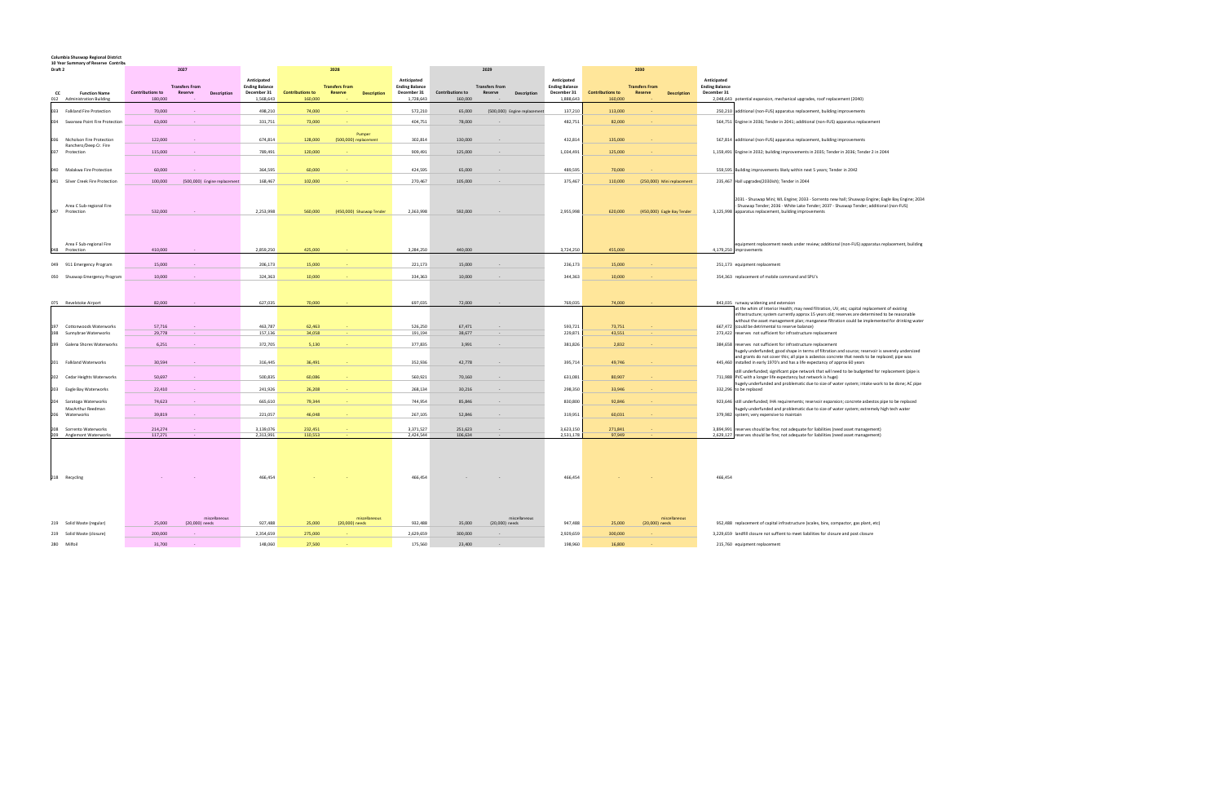## **Columbia Shuswap Regional District 10 Year Summary of Reserve Contribu**

| 10 TC 4<br>Draft 2 | ilidi v vi neserve "Culturu"                          |                  | 2027                             |                              |                                                     |                         | 2028                                                   |                                                     |                         | 2029                                    |                              |                                                     | 2030                    |                                                               |                                                                                                                                                                                                                                                     |
|--------------------|-------------------------------------------------------|------------------|----------------------------------|------------------------------|-----------------------------------------------------|-------------------------|--------------------------------------------------------|-----------------------------------------------------|-------------------------|-----------------------------------------|------------------------------|-----------------------------------------------------|-------------------------|---------------------------------------------------------------|-----------------------------------------------------------------------------------------------------------------------------------------------------------------------------------------------------------------------------------------------------|
| cc                 | <b>Function Name</b>                                  | Contributions to | <b>Transfers From</b><br>Reserve | <b>Description</b>           | Anticipated<br><b>Ending Balance</b><br>December 31 | <b>Contributions to</b> | <b>Transfers From</b><br>Reserve<br><b>Description</b> | Anticipated<br><b>Ending Balance</b><br>December 31 | <b>Contributions to</b> | <b>Transfers From</b><br><b>Reserve</b> | <b>Description</b>           | Anticipated<br><b>Ending Balance</b><br>December 31 | <b>Contributions to</b> | <b>Transfers From</b><br><b>Description</b><br><b>Reserve</b> | Anticipated<br><b>Ending Balance</b><br>December 31                                                                                                                                                                                                 |
|                    | 012 Administration Building                           | 180,000          |                                  |                              | 1,568,643                                           | 160,000                 |                                                        | 1,728,643                                           | 160,000                 |                                         |                              | 1,888,643                                           | 160,000                 |                                                               | 2,048,643 potential expansion, mechanical upgrades, roof replacement (2040)                                                                                                                                                                         |
| 033                | <b>Falkland Fire Protection</b>                       | 70,000           |                                  |                              | 498,210                                             | 74,000                  |                                                        | 572,210                                             | 65,000                  |                                         | (500,000) Engine replacement | 137,210                                             | 113,000                 |                                                               | 250,210 additional (non-FUS) apparatus replacement, building improvements                                                                                                                                                                           |
| 034                | Swansea Point Fire Protection                         | 63,000           |                                  |                              | 331,751                                             | 73,000                  |                                                        | 404,751                                             | 78,000                  |                                         |                              | 482,751                                             | 82,000                  |                                                               | 564,751 Engine in 2036; Tender in 2041; additional (non-FUS) apparatus replacement                                                                                                                                                                  |
|                    |                                                       |                  |                                  |                              |                                                     |                         | Pumper                                                 |                                                     |                         |                                         |                              |                                                     |                         |                                                               |                                                                                                                                                                                                                                                     |
| 036                | Nicholson Fire Protection<br>Ranchero/Deep Cr. Fire   | 122,000          |                                  |                              | 674,814                                             | 128,000                 | (500,000) replacement                                  | 302,814                                             | 130,000                 |                                         |                              | 432,814                                             | 135,000                 |                                                               | 567,814 additional (non-FUS) apparatus replacement, building improvements                                                                                                                                                                           |
| 037                | Protection                                            | 115,000          |                                  |                              | 789,491                                             | 120,000                 |                                                        | 909,491                                             | 125,000                 |                                         |                              | 1,034,491                                           | 125,000                 |                                                               | 1,159,491 Engine in 2032; building improvements in 2035; Tender in 2036; Tender 2 in 2044                                                                                                                                                           |
|                    |                                                       |                  |                                  |                              |                                                     |                         |                                                        |                                                     |                         |                                         |                              |                                                     |                         |                                                               |                                                                                                                                                                                                                                                     |
| 040                | Malakwa Fire Protection                               | 60,000           |                                  |                              | 364,595                                             | 60,000                  |                                                        | 424,595                                             | 65,000                  |                                         |                              | 489,595                                             | 70,000                  |                                                               | 559,595 Building improvements likely within next 5 years; Tender in 2042                                                                                                                                                                            |
| 041                | Silver Creek Fire Protection                          | 100,000          |                                  | (500,000) Engine replacement | 168,467                                             | 102,000                 |                                                        | 270,467                                             | 105,000                 |                                         |                              | 375,467                                             | 110,000                 | (250,000) Mini replacement                                    | 235,467 Hall upgrades(2030ish); Tender in 2044                                                                                                                                                                                                      |
| 047                | Area C Sub-regional Fire<br>Protection                | 532,000          |                                  |                              | 2,253,998                                           | 560,000                 | (450,000) Shuswap Tender                               | 2,363,998                                           | 592,000                 |                                         |                              | 2,955,998                                           | 620,000                 | (450,000) Eagle Bay Tender                                    | 2031 - Shuswap Mini; WL Engine; 2033 - Sorrento new hall; Shuswap Engine; Eagle Bay Engine; 2034<br>Shuswap Tender; 2036 - White Lake Tender; 2037 - Shuswap Tender; additional (non-FUS)<br>3,125,998 apparatus replacement, building improvements |
|                    | Area F Sub-regional Fire                              |                  |                                  |                              |                                                     |                         |                                                        |                                                     |                         |                                         |                              |                                                     |                         |                                                               | equipment replacement needs under review; additional (non-FUS) apparatus replacement, building                                                                                                                                                      |
|                    | 048 Protection                                        | 410,000          |                                  |                              | 2,859,250                                           | 425,000                 |                                                        | 3,284,250                                           | 440,000                 |                                         |                              | 3,724,250                                           | 455,000                 |                                                               | 4,179,250 improvements                                                                                                                                                                                                                              |
|                    | 049 911 Emergency Program                             | 15,000           |                                  |                              | 206,173                                             | 15,000                  |                                                        | 221,173                                             | 15,000                  |                                         |                              | 236,173                                             | 15,000                  |                                                               | 251,173 equipment replacement                                                                                                                                                                                                                       |
|                    | 050 Shuswap Emergency Program                         | 10,000           |                                  |                              | 324,363                                             | 10,000                  |                                                        | 334,363                                             | 10,000                  |                                         |                              | 344,363                                             | 10,000                  |                                                               | 354,363 replacement of mobile command and SPU's                                                                                                                                                                                                     |
|                    |                                                       |                  |                                  |                              |                                                     |                         |                                                        |                                                     |                         |                                         |                              |                                                     |                         |                                                               |                                                                                                                                                                                                                                                     |
|                    |                                                       |                  |                                  |                              |                                                     |                         |                                                        |                                                     |                         |                                         |                              |                                                     |                         |                                                               |                                                                                                                                                                                                                                                     |
|                    | 075 Revelstoke Airport                                | 82,000           |                                  |                              | 627,035                                             | 70,000                  |                                                        | 697,035                                             | 72,000                  |                                         |                              | 769,035                                             | 74,000                  |                                                               | 843,035 runway widening and extension<br>at the whim of Interior Health; may need filtration, UV, etc; capital replacement of existing                                                                                                              |
|                    |                                                       |                  |                                  |                              |                                                     |                         |                                                        |                                                     |                         |                                         |                              |                                                     |                         |                                                               | infrastructure; system currently approx 15 years old; reserves are determined to be reasonable<br>without the asset management plan; manganese filtration could be implemented for drinking water                                                   |
| 197<br>198         | <b>Cottonwoods Waterworks</b><br>Sunnybrae Waterworks | 57,716<br>29,778 | $\sim$                           |                              | 463,787<br>157,136                                  | 62,463<br>34,058        |                                                        | 526,250<br>191,194                                  | 67,471<br>38,677        |                                         |                              | 593,721<br>229,871                                  | 73.751<br>43,551        |                                                               | 667.472 (could be detrimental to reserve balance)<br>273,422 reserves not sufficient for infrastructure replacement                                                                                                                                 |
|                    |                                                       |                  |                                  |                              |                                                     |                         |                                                        |                                                     |                         |                                         |                              |                                                     |                         |                                                               |                                                                                                                                                                                                                                                     |
| 199                | Galena Shores Waterworks                              | 6,251            |                                  |                              | 372,705                                             | 5,130                   |                                                        | 377,835                                             | 3,991                   |                                         |                              | 381,826                                             | 2,832                   |                                                               | 384,658 reserves not sufficient for infrastructure replacement<br>nugely underfunded; good shape in terms of filtration and source; reservoir is severely undersized                                                                                |
| 201                | <b>Falkland Waterworks</b>                            | 30,594           |                                  |                              | 316,445                                             | 36,491                  |                                                        | 352,936                                             | 42,778                  |                                         |                              | 395,714                                             | 49,746                  |                                                               | and grants do not cover this; all pipe is asbestos concrete that needs to be replaced; pipe was<br>445,460 installed in early 1970's and has a life expectancy of approx 60 years                                                                   |
|                    |                                                       |                  |                                  |                              |                                                     |                         |                                                        |                                                     |                         |                                         |                              |                                                     |                         |                                                               | still underfunded; significant pipe network that will need to be budgetted for replacement (pipe is                                                                                                                                                 |
|                    | 202 Cedar Heights Waterworks                          | 50,697           |                                  |                              | 500,835                                             | 60,086                  |                                                        | 560,921                                             | 70,160                  |                                         |                              | 631,081                                             | 80,907                  |                                                               | 711,988 PVC with a longer life expectancy but network is huge)<br>hugely underfunded and problematic due to size of water system; intake work to be done; AC pipe                                                                                   |
|                    | 203 Eagle Bay Waterworks                              | 22,410           |                                  |                              | 241,926                                             | 26,208                  |                                                        | 268,134                                             | 30,216                  |                                         |                              | 298,350                                             | 33,946                  |                                                               | 332,296 to be replaced                                                                                                                                                                                                                              |
| 204                | Saratoga Waterworks                                   | 74,623           |                                  |                              | 665,610                                             | 79,344                  |                                                        | 744,954                                             | 85,846                  |                                         |                              | 830,800                                             | 92,846                  |                                                               | 923,646 still underfunded; IHA requirements; reservoir expansion; concrete asbestos pipe to be replaced                                                                                                                                             |
|                    | MacArthur Reedman<br>Waterworks                       | 39,819           |                                  |                              | 221,057                                             | 46,048                  |                                                        | 267,105                                             | 52,846                  |                                         |                              | 319,951                                             | 60,031                  |                                                               | lugely underfunded and problematic due to size of water system; extremely high tech water<br>379,982 system; very expensive to maintain                                                                                                             |
|                    | 208 Sorrento Waterworks                               | 214,274          |                                  |                              | 3,139,076                                           | 232,451                 |                                                        | 3,371,527                                           | 251,623                 | $\sim$                                  |                              | 3,623,150                                           | 271,841                 |                                                               | 3,894,991 reserves should be fine; not adequate for liabilities (need asset management)                                                                                                                                                             |
|                    | 209 Anglemont Waterworks                              | 117,271          |                                  |                              | 2,313,991                                           | 110,553                 |                                                        | 2,424,544                                           | 106,634                 |                                         |                              | 2,531,178                                           | 97,949                  |                                                               | 2,629,127 reserves should be fine; not adequate for liabilities (need asset management)                                                                                                                                                             |
|                    | 218 Recycling                                         |                  |                                  |                              | 466,454                                             |                         |                                                        | 466,454                                             |                         |                                         |                              | 466,454                                             |                         |                                                               | 466,454                                                                                                                                                                                                                                             |
|                    | 219 Solid Waste (regular)                             | 25,000           | (20,000) needs                   | miscellaneous                | 927,488                                             | 25,000                  | miscellaneous<br>(20,000) needs                        | 932,488                                             | 35,000                  | (20,000) needs                          | miscellaneous                | 947,488                                             | 25,000                  | miscellaneous<br>(20,000) needs                               | 952,488 replacement of capital infrastructure (scales, bins, compactor, gas plant, etc)                                                                                                                                                             |
|                    | 219 Solid Waste (closure)                             | 200,000          |                                  |                              | 2,354,659                                           | 275,000                 |                                                        | 2,629,659                                           | 300,000                 |                                         |                              | 2,929,659                                           | 300,000                 |                                                               | 3,229,659 landfill closure not suffient to meet liabilities for closure and post closure                                                                                                                                                            |
| 280                | Milfoil                                               | 31,700           |                                  |                              | 148,060                                             | 27,500                  |                                                        | 175,560                                             | 23,400                  |                                         |                              | 198,960                                             | 16,800                  |                                                               | 215,760 equipment replacement                                                                                                                                                                                                                       |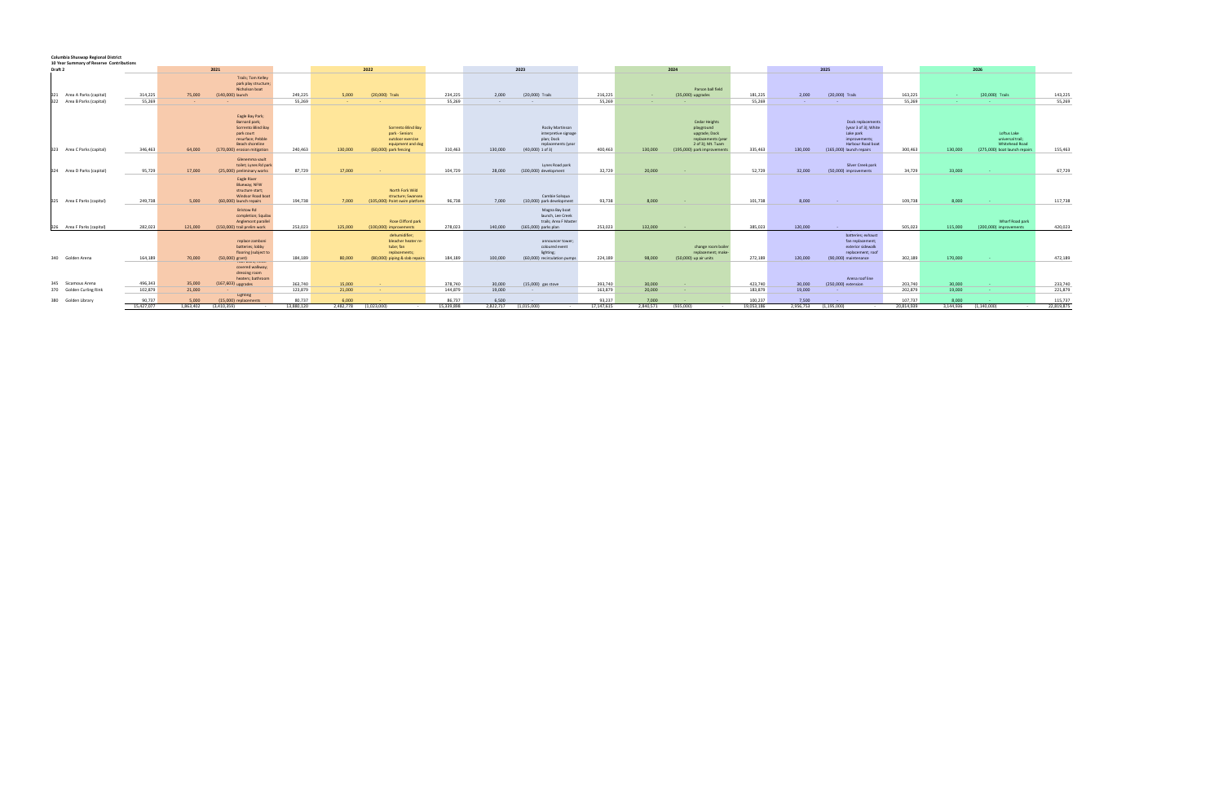## **Columbia Shuswap Regional District 10 Year Summary of Reserve Contributions**

| To your partners to report to continuation.              |                      |                           |                                                                                                                                              |                      |                    |                                                                                                        |                      |                    |                                                                                                   |                      |                    |                                                                                                                               |                       |                    |                                                                                                                          |                       |                    |                                                                                           |                       |  |  |
|----------------------------------------------------------|----------------------|---------------------------|----------------------------------------------------------------------------------------------------------------------------------------------|----------------------|--------------------|--------------------------------------------------------------------------------------------------------|----------------------|--------------------|---------------------------------------------------------------------------------------------------|----------------------|--------------------|-------------------------------------------------------------------------------------------------------------------------------|-----------------------|--------------------|--------------------------------------------------------------------------------------------------------------------------|-----------------------|--------------------|-------------------------------------------------------------------------------------------|-----------------------|--|--|
| Draft <sub>2</sub>                                       |                      | 2021                      |                                                                                                                                              |                      |                    | 2022                                                                                                   |                      |                    | 2023                                                                                              |                      |                    | 2024                                                                                                                          |                       |                    |                                                                                                                          |                       | 2025               | 2026                                                                                      |                       |  |  |
| 321 Area A Parks (capital)<br>322 Area B Parks (capital) | 314,225<br>55,269    | 75,000<br><b>Contract</b> | <b>Trails; Tom Kelley</b><br>park play structure;<br>Nicholson boat<br>(140,000) launch                                                      | 249,225<br>55,269    | 5,000              | (20,000) Trails                                                                                        | 234,225<br>55,269    | 2,000              | (20,000) Trails                                                                                   | 216,225<br>55,269    | <b>Service</b>     | Parson ball field<br>(35,000) upgrades                                                                                        | 181,225<br>55,269     | 2,000              | (20,000) Trails                                                                                                          | 163,225<br>55.269     |                    | (20,000) Trails                                                                           | 143,225<br>55,269     |  |  |
|                                                          |                      |                           |                                                                                                                                              |                      |                    |                                                                                                        |                      | <b>Service</b>     | $\sim 10^{-11}$                                                                                   |                      |                    |                                                                                                                               |                       | <b>Contract</b>    | <b>Contract</b>                                                                                                          |                       |                    |                                                                                           |                       |  |  |
| 323 Area C Parks (capital)                               | 346,463              | 64,000                    | Eagle Bay Park;<br>Barnard park;<br>Sorrento Blind Bay<br>park court<br>resurface; Pebble<br>Beach shoreline<br>(170,000) erosion mitigation | 240,463              | 130,000            | Sorrento Blind Bay<br>park - Seniors<br>outdoor exercise<br>equipment and dog<br>(60,000) park fencing | 310,463              | 130,000            | Rocky Martinson<br>interpretive signage<br>plan; Dock<br>replacements (year<br>$(40,000)$ 1 of 3) | 400,463              | 130,000            | <b>Cedar Heights</b><br>playground<br>upgrade; Dock<br>replacements (year<br>2 of 3); Mt. Tuam<br>(195,000) park improvements | 335,463               | 130,000            | Dock replacements<br>(year 3 of 3); White<br>Lake park<br>improvements;<br>Harbour Road boat<br>(165,000) launch repairs | 300,463               | 130,000            | Loftus Lake<br>universal trail;<br><b>Whitehead Road</b><br>(275,000) boat launch repairs | 155,463               |  |  |
|                                                          |                      |                           | Glenemma vault                                                                                                                               |                      |                    |                                                                                                        |                      |                    |                                                                                                   |                      |                    |                                                                                                                               |                       |                    |                                                                                                                          |                       |                    |                                                                                           |                       |  |  |
| 324 Area D Parks (capital)                               | 95,729               | 17,000                    | toilet; Lynes Rd park<br>(25,000) preliminary works                                                                                          | 87,729               | 17,000             |                                                                                                        | 104,729              | 28,000             | Lynes Road park<br>(100,000) development                                                          | 32,729               | 20,000             |                                                                                                                               | 52,729                | 32,000             | Silver Creek park<br>(50,000) improvements                                                                               | 34,729                | 33,000             | <b>Contract</b>                                                                           | 67,729                |  |  |
| 325 Area E Parks (capital)                               | 249.738              | 5.000                     | Eagle River<br>Blueway; NFW<br>structure start;<br>Windsor Road boat<br>(60,000) launch repairs                                              | 194,738              | 7.000              | North Fork Wild<br>structure; Swansea<br>(105,000) Point swim platform                                 | 96,738               | 7.000              | Cambie Solsqua<br>(10,000) park development                                                       | 93,738               | 8,000              | <b>Contract</b>                                                                                                               | 101,738               | 8,000              | <b>Contract</b>                                                                                                          | 109.738               | 8,000              |                                                                                           | 117,738               |  |  |
| 326 Area F Parks (capital)                               | 282.023              | 121,000                   | <b>Bristow Rd</b><br>completion; Squilax<br>Anglemont parallel<br>(150,000) trail prelim work                                                | 253.023              | 125,000            | <b>Rose Clifford park</b><br>(100,000) improvements                                                    | 278.023              | 140,000            | Magna Bay boat<br>launch, Lee Creek<br>trails; Area F Master<br>(165,000) parks plan              | 253.023              | 132,000            | $\sim$                                                                                                                        | 385,023               | 120,000            | <b>Service</b>                                                                                                           | 505.023               | 115,000            | Wharf Road park<br>(200,000) improvements                                                 | 420,023               |  |  |
|                                                          |                      |                           | replace zamboni<br>batteries; lobby                                                                                                          |                      |                    | dehumidifier;<br>bleacher heater re-<br>tube; fan                                                      |                      |                    | announcer tower;<br>coloured event                                                                |                      |                    | change room boiler                                                                                                            |                       |                    | replace zamoom<br>batteries; exhaust<br>fan replacement;<br>exterior sidewalk                                            |                       |                    |                                                                                           |                       |  |  |
| 340 Golden Arena                                         | 164,189              | 70,000                    | flooring (subject to<br>$(50,000)$ grant)                                                                                                    | 184,189              | 80,000             | replacements;<br>(80,000) piping & slab repairs                                                        | 184,189              | 100,000            | lighting;<br>(60,000) recirculation pumps                                                         | 224,189              | 98,000             | replacement; make-<br>(50,000) up air units                                                                                   | 272,189               | 120,000            | replacement; roof<br>(90,000) maintenance                                                                                | 302,189               | 170,000            |                                                                                           | 472,189               |  |  |
|                                                          |                      |                           | TUUT WUTK, IIIIISIT<br>covered walkway;<br>dressing room<br>heaters; bathroom                                                                |                      |                    |                                                                                                        |                      |                    |                                                                                                   |                      |                    |                                                                                                                               |                       |                    | Arena roof line                                                                                                          |                       |                    |                                                                                           |                       |  |  |
| 345 Sicamous Arena                                       | 496,343              | 35,000                    | (167,603) upgrades                                                                                                                           | 363,740              | 15,000             | $\sim$                                                                                                 | 378,740              | 30,000             | (15,000) gas stove                                                                                | 393,740              | 30,000             | $\sim$                                                                                                                        | 423,740               | 30,000             | (250,000) extension                                                                                                      | 203,740               | 30,000             |                                                                                           | 233,740               |  |  |
| 370 Golden Curling Rink                                  | 102.879              | 21,000                    | Lighting                                                                                                                                     | 123,879              | 21,000             | <b>Security</b>                                                                                        | 144,879              | 19,000             | <b>Contract</b>                                                                                   | 163,879              | 20,000             | <b>Contract</b>                                                                                                               | 183,879               | 19,000             | <b>Contract</b>                                                                                                          | 202.879               | 19,000             | <b>Contract</b>                                                                           | 221,879               |  |  |
| 380 Golden Library                                       | 90,737<br>15,427,077 | 5.000<br>1.863.402        | (15.000) replacements<br>(3.410.359)                                                                                                         | 80,737<br>13,880,120 | 6.000<br>2,482,778 | (1.023.000)                                                                                            | 86.737<br>15.339.898 | 6.500<br>2,822,717 | (1,015,000)                                                                                       | 93,237<br>17,147,615 | 7,000<br>2.840.571 | (935.000)<br>$\sim$                                                                                                           | 100.237<br>19,053,186 | 7.500<br>2.956.753 | - 1<br>(1.195.000)<br>$\sim$                                                                                             | 107.737<br>20,814,939 | 8,000<br>3.144.936 | (1.140.000)<br>$\sim$ 100 $\mu$                                                           | 115,737<br>22,819,875 |  |  |
|                                                          |                      |                           |                                                                                                                                              |                      |                    |                                                                                                        |                      |                    |                                                                                                   |                      |                    |                                                                                                                               |                       |                    |                                                                                                                          |                       |                    |                                                                                           |                       |  |  |